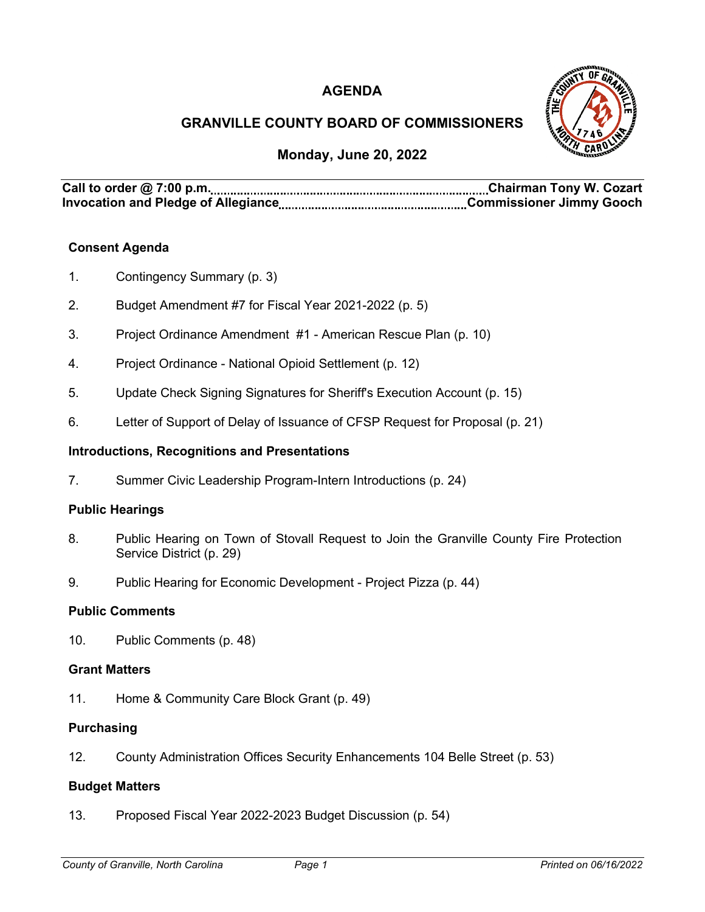# **AGENDA**



# **GRANVILLE COUNTY BOARD OF COMMISSIONERS**

## **Monday, June 20, 2022**

**Call to order @ 7:00 p.m. Chairman Tony W. Cozart Invocation and Pledge of Allegiance Commissioner Jimmy Gooch**

## **Consent Agenda**

- 1. Contingency Summary (p. 3)
- 2. Budget Amendment #7 for Fiscal Year 2021-2022 (p. 5)
- 3. Project Ordinance Amendment #1 American Rescue Plan (p. 10)
- 4. Project Ordinance National Opioid Settlement (p. 12)
- 5. Update Check Signing Signatures for Sheriff's Execution Account (p. 15)
- 6. Letter of Support of Delay of Issuance of CFSP Request for Proposal (p. 21)

#### **Introductions, Recognitions and Presentations**

7. Summer Civic Leadership Program-Intern Introductions (p. 24)

#### **Public Hearings**

- 8. Public Hearing on Town of Stovall Request to Join the Granville County Fire Protection Service District (p. 29)
- 9. Public Hearing for Economic Development Project Pizza (p. 44)

#### **Public Comments**

10. Public Comments (p. 48)

#### **Grant Matters**

11. Home & Community Care Block Grant (p. 49)

#### **Purchasing**

12. County Administration Offices Security Enhancements 104 Belle Street (p. 53)

#### **Budget Matters**

13. Proposed Fiscal Year 2022-2023 Budget Discussion (p. 54)